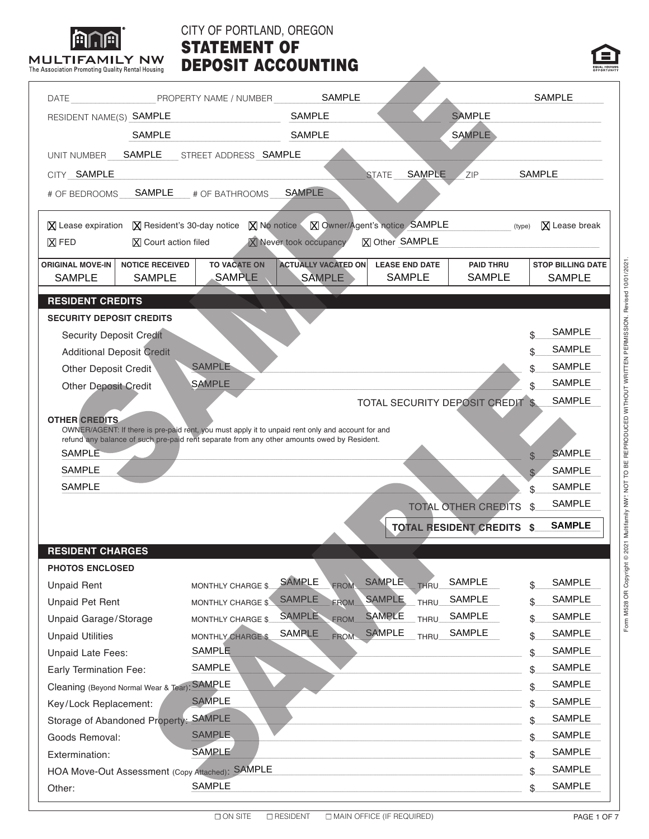|                                                                                                                                                                                                                                                                                           |                                         | DATE PROPERTY NAME / NUMBER                                                                       | <b>SAMPLE</b>                               |                       |                                        |                                         |               | <b>SAMPLE</b>                             |
|-------------------------------------------------------------------------------------------------------------------------------------------------------------------------------------------------------------------------------------------------------------------------------------------|-----------------------------------------|---------------------------------------------------------------------------------------------------|---------------------------------------------|-----------------------|----------------------------------------|-----------------------------------------|---------------|-------------------------------------------|
| RESIDENT NAME(S) SAMPLE                                                                                                                                                                                                                                                                   |                                         |                                                                                                   | <b>SAMPLE</b>                               |                       |                                        | <b>SAMPLE</b>                           |               |                                           |
|                                                                                                                                                                                                                                                                                           | <b>SAMPLE</b>                           |                                                                                                   | <b>SAMPLE</b>                               |                       |                                        | <b>SAMPLE</b>                           |               |                                           |
| UNIT NUMBER                                                                                                                                                                                                                                                                               | SAMPLE                                  | STREET ADDRESS SAMPLE                                                                             |                                             |                       |                                        |                                         |               |                                           |
| CITY SAMPLE                                                                                                                                                                                                                                                                               |                                         |                                                                                                   |                                             | <b>STATE</b>          | <b>SAMPLE</b>                          | ZIP                                     | <b>SAMPLE</b> |                                           |
| # OF BEDROOMS                                                                                                                                                                                                                                                                             | <b>SAMPLE</b>                           | # OF BATHROOMS                                                                                    | <b>SAMPLE</b>                               |                       |                                        |                                         |               |                                           |
| $\boxtimes$ Lease expiration                                                                                                                                                                                                                                                              | $X$ Resident's 30-day notice            |                                                                                                   | X No notice X Owner/Agent's notice SAMPLE   |                       |                                        |                                         | (type)        | $\mathbf{\Sigma}$ Lease break             |
| $X$ FED                                                                                                                                                                                                                                                                                   | $ X $ Court action filed                |                                                                                                   | <b>X</b> Never took occupancy               | <b>X</b> Other SAMPLE |                                        |                                         |               |                                           |
| <b>ORIGINAL MOVE-IN</b><br><b>SAMPLE</b>                                                                                                                                                                                                                                                  | <b>NOTICE RECEIVED</b><br><b>SAMPLE</b> | <b>TO VACATE ON</b><br><b>SAMPLE</b>                                                              | <b>ACTUALLY VACATED ON</b><br><b>SAMPLE</b> |                       | <b>LEASE END DATE</b><br><b>SAMPLE</b> | <b>PAID THRU</b><br><b>SAMPLE</b>       |               | <b>STOP BILLING DATE</b><br><b>SAMPLE</b> |
| <b>RESIDENT CREDITS</b>                                                                                                                                                                                                                                                                   |                                         |                                                                                                   |                                             |                       |                                        |                                         |               |                                           |
| <b>SECURITY DEPOSIT CREDITS</b>                                                                                                                                                                                                                                                           |                                         |                                                                                                   |                                             |                       |                                        |                                         |               |                                           |
| <b>Security Deposit Credit</b>                                                                                                                                                                                                                                                            |                                         |                                                                                                   |                                             |                       |                                        |                                         | \$            | <b>SAMPLE</b>                             |
|                                                                                                                                                                                                                                                                                           | <b>Additional Deposit Credit</b>        |                                                                                                   |                                             |                       |                                        |                                         | \$            | <b>SAMPLE</b>                             |
| <b>Other Deposit Credit</b>                                                                                                                                                                                                                                                               |                                         | <b>SAMPLE</b>                                                                                     |                                             |                       |                                        |                                         | \$            | <b>SAMPLE</b>                             |
| <b>Other Deposit Credit</b>                                                                                                                                                                                                                                                               |                                         | <b>SAMPLE</b>                                                                                     |                                             |                       |                                        |                                         | \$.           | <b>SAMPLE</b>                             |
|                                                                                                                                                                                                                                                                                           |                                         |                                                                                                   |                                             |                       |                                        | <b>TOTAL SECURITY DEPOSIT CREDIT \$</b> |               | <b>SAMPLE</b>                             |
|                                                                                                                                                                                                                                                                                           |                                         |                                                                                                   |                                             |                       |                                        |                                         |               |                                           |
|                                                                                                                                                                                                                                                                                           |                                         |                                                                                                   |                                             |                       |                                        |                                         |               |                                           |
|                                                                                                                                                                                                                                                                                           |                                         | OWNER/AGENT: If there is pre-paid rent, you must apply it to unpaid rent only and account for and |                                             |                       |                                        |                                         |               |                                           |
| <b>SAMPLE</b>                                                                                                                                                                                                                                                                             |                                         | refund any balance of such pre-paid rent separate from any other amounts owed by Resident.        |                                             |                       |                                        |                                         |               | <b>SAMPLE</b>                             |
| SAMPLE                                                                                                                                                                                                                                                                                    |                                         |                                                                                                   |                                             |                       |                                        |                                         | $\Re$         | <b>SAMPLE</b>                             |
| <b>SAMPLE</b>                                                                                                                                                                                                                                                                             |                                         |                                                                                                   |                                             |                       |                                        |                                         | $\mathbb{S}$  | <b>SAMPLE</b>                             |
|                                                                                                                                                                                                                                                                                           |                                         |                                                                                                   |                                             |                       |                                        |                                         | \$            | <b>SAMPLE</b>                             |
|                                                                                                                                                                                                                                                                                           |                                         |                                                                                                   |                                             |                       |                                        | <b>TOTAL OTHER CREDITS</b>              | \$            |                                           |
|                                                                                                                                                                                                                                                                                           |                                         |                                                                                                   |                                             |                       |                                        | <b>TOTAL RESIDENT CREDITS \$</b>        |               | <b>SAMPLE</b>                             |
|                                                                                                                                                                                                                                                                                           |                                         |                                                                                                   |                                             |                       |                                        |                                         |               |                                           |
|                                                                                                                                                                                                                                                                                           |                                         |                                                                                                   |                                             |                       |                                        |                                         |               |                                           |
|                                                                                                                                                                                                                                                                                           |                                         | MONTHLY CHARGE \$                                                                                 | <b>SAMPLE</b><br><b>FROM</b>                | <b>SAMPLE</b>         | THRU                                   | <b>SAMPLE</b>                           | \$            |                                           |
|                                                                                                                                                                                                                                                                                           |                                         | MONTHLY CHARGE \$                                                                                 | <b>SAMPLE</b><br><b>FROM</b>                | <b>SAMPLE</b>         | THRU                                   | <b>SAMPLE</b>                           | \$            | SAMPLE<br>SAMPLE                          |
|                                                                                                                                                                                                                                                                                           |                                         | <b>MONTHLY CHARGE \$</b>                                                                          | <b>SAMPLE</b><br><b>FROM</b>                | <b>SAMPLE</b>         | THRU                                   | SAMPLE                                  | \$            | SAMPLE                                    |
|                                                                                                                                                                                                                                                                                           |                                         | MONTHLY CHARGE \$                                                                                 | <b>SAMPLE</b><br><b>FROM</b>                | <b>SAMPLE</b>         | <b>THRU</b>                            | <b>SAMPLE</b>                           | \$            | SAMPLE                                    |
|                                                                                                                                                                                                                                                                                           |                                         | <b>SAMPLE</b>                                                                                     |                                             |                       |                                        |                                         | \$            | SAMPLE                                    |
|                                                                                                                                                                                                                                                                                           |                                         | SAMPLE                                                                                            |                                             |                       |                                        |                                         | \$            | SAMPLE                                    |
|                                                                                                                                                                                                                                                                                           | Cleaning (Beyond Normal Wear & Tear)    | <b>SAMPLE</b>                                                                                     |                                             |                       |                                        |                                         | \$            | <b>SAMPLE</b>                             |
|                                                                                                                                                                                                                                                                                           |                                         | <b>SAMPLE</b>                                                                                     |                                             |                       |                                        |                                         | \$            | SAMPLE                                    |
|                                                                                                                                                                                                                                                                                           | Storage of Abandoned Property:          | <b>SAMPLE</b>                                                                                     |                                             |                       |                                        |                                         | \$            | SAMPLE                                    |
|                                                                                                                                                                                                                                                                                           |                                         | <b>SAMPLE</b>                                                                                     |                                             |                       |                                        |                                         | \$            | SAMPLE                                    |
|                                                                                                                                                                                                                                                                                           |                                         | <b>SAMPLE</b>                                                                                     |                                             |                       |                                        |                                         | \$            | SAMPLE                                    |
| <b>OTHER CREDITS</b><br><b>RESIDENT CHARGES</b><br><b>PHOTOS ENCLOSED</b><br><b>Unpaid Rent</b><br><b>Unpaid Pet Rent</b><br>Unpaid Garage/Storage<br><b>Unpaid Utilities</b><br>Unpaid Late Fees:<br>Early Termination Fee:<br>Key/Lock Replacement:<br>Goods Removal:<br>Extermination: |                                         | HOA Move-Out Assessment (Copy Attached): SAMPLE                                                   |                                             |                       |                                        |                                         | \$            | SAMPLE                                    |

CITY OF PORTLAND, OREGON

∣മ∩രി

Other:

SAMPLE

 $\mathsf{s}_-$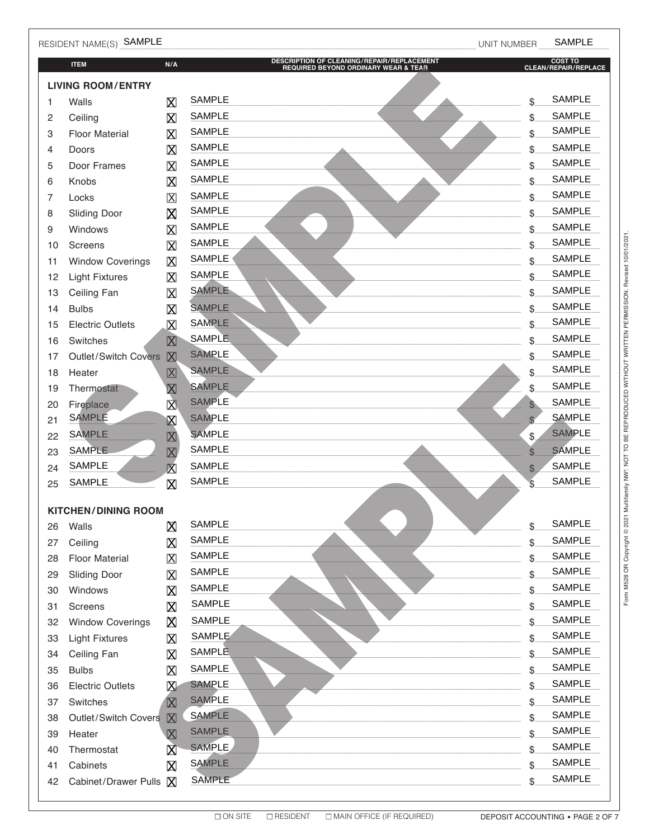|          | RESIDENT NAME(S) SAMPLE    |                                                    |                                                                                    | UNIT NUMBER        | <b>SAMPLE</b>                   |  |  |
|----------|----------------------------|----------------------------------------------------|------------------------------------------------------------------------------------|--------------------|---------------------------------|--|--|
|          | <b>ITEM</b>                | N/A                                                | DESCRIPTION OF CLEANING/REPAIR/REPLACEMENT<br>REQUIRED BEYOND ORDINARY WEAR & TEAR |                    | COST TO<br>CLEAN/REPAIR/REPLACE |  |  |
|          | <b>LIVING ROOM/ENTRY</b>   |                                                    |                                                                                    |                    |                                 |  |  |
| 1        | Walls                      | X                                                  | <b>SAMPLE</b>                                                                      | \$                 | <b>SAMPLE</b>                   |  |  |
| 2        | Ceiling                    | $\boxtimes$                                        | <b>SAMPLE</b>                                                                      | \$                 | <b>SAMPLE</b>                   |  |  |
| 3        | <b>Floor Material</b>      | X                                                  | <b>SAMPLE</b>                                                                      | \$                 | <b>SAMPLE</b>                   |  |  |
| 4        | Doors                      | $\boxtimes$                                        | <b>SAMPLE</b>                                                                      | \$                 | <b>SAMPLE</b>                   |  |  |
| 5        | Door Frames                | $\boxtimes$                                        | <b>SAMPLE</b>                                                                      | \$                 | <b>SAMPLE</b>                   |  |  |
| 6        | Knobs                      | $\boxtimes$                                        | <b>SAMPLE</b>                                                                      | \$                 | <b>SAMPLE</b>                   |  |  |
| 7        | Locks                      | $\mathsf{X}$                                       | <b>SAMPLE</b>                                                                      | \$                 | <b>SAMPLE</b>                   |  |  |
| 8        | <b>Sliding Door</b>        | 区                                                  | <b>SAMPLE</b>                                                                      | \$                 | <b>SAMPLE</b>                   |  |  |
| 9        | Windows                    | $\boxtimes$                                        | <b>SAMPLE</b>                                                                      | \$                 | <b>SAMPLE</b>                   |  |  |
| 10       | Screens                    | $\boxtimes$                                        | <b>SAMPLE</b>                                                                      | \$                 | <b>SAMPLE</b>                   |  |  |
| 11       | <b>Window Coverings</b>    | $\boxtimes$                                        | <b>SAMPLE</b>                                                                      | \$                 | <b>SAMPLE</b>                   |  |  |
| 12       | <b>Light Fixtures</b>      | $\boxtimes$                                        | <b>SAMPLE</b>                                                                      | \$                 | <b>SAMPLE</b>                   |  |  |
| 13       | Ceiling Fan                | $\boxtimes$                                        | <b>SAMPLE</b>                                                                      | \$                 | <b>SAMPLE</b>                   |  |  |
| 14       | <b>Bulbs</b>               | $\boxtimes$                                        | <b>SAMPLE</b>                                                                      | \$                 | <b>SAMPLE</b>                   |  |  |
| 15       | <b>Electric Outlets</b>    | $\boxtimes$                                        | <b>SAMPLE</b>                                                                      | \$                 | <b>SAMPLE</b>                   |  |  |
| 16       | Switches                   | $\boxtimes$                                        | <b>SAMPLE</b>                                                                      | \$                 | <b>SAMPLE</b>                   |  |  |
| 17       | Outlet/Switch Covers       | $\boxtimes$                                        | <b>SAMPLE</b><br><b>SAMPLE</b>                                                     | \$                 | <b>SAMPLE</b><br><b>SAMPLE</b>  |  |  |
| 18       | Heater                     | $\boxtimes$                                        | <b>SAMPLE</b>                                                                      | \$                 | <b>SAMPLE</b>                   |  |  |
| 19       | Thermostat                 | $\overline{\mathsf{X}}$                            | <b>SAMPLE</b>                                                                      | \$                 | <b>SAMPLE</b>                   |  |  |
| 20       | Fireplace<br><b>SAMPLE</b> | $\overline{\mathbf{X}}$                            | <b>SAMPLE</b>                                                                      | \$                 | <b>SAMPLE</b>                   |  |  |
| 21       | <b>SAMPLE</b>              | $\boxtimes$                                        | <b>SAMPLE</b>                                                                      | $\mathbb{S}$       | <b>SAMPLE</b>                   |  |  |
| 22<br>23 | <b>SAMPLE</b>              | $\boxtimes$                                        | <b>SAMPLE</b>                                                                      | \$<br>$\mathbb{S}$ | <b>SAMPLE</b>                   |  |  |
| 24       | <b>SAMPLE</b>              | $\overline{\mathbf{X}}$<br>$\overline{\mathbf{X}}$ | <b>SAMPLE</b>                                                                      | $\mathfrak{S}$     | <b>SAMPLE</b>                   |  |  |
| 25       | <b>SAMPLE</b>              | $\boxtimes$                                        | <b>SAMPLE</b>                                                                      | $\mathcal{L}$      | <b>SAMPLE</b>                   |  |  |
|          |                            |                                                    |                                                                                    |                    |                                 |  |  |
|          | <b>KITCHEN/DINING ROOM</b> |                                                    |                                                                                    |                    |                                 |  |  |
| 26       | Walls                      | 区                                                  | <b>SAMPLE</b>                                                                      | \$                 | <b>SAMPLE</b>                   |  |  |
| 27       | Ceiling                    | $\boxtimes$                                        | <b>SAMPLE</b>                                                                      | \$                 | <b>SAMPLE</b>                   |  |  |
| 28       | <b>Floor Material</b>      | $\boxtimes$                                        | <b>SAMPLE</b>                                                                      | \$                 | SAMPLE                          |  |  |
| 29       | <b>Sliding Door</b>        | $\boxtimes$                                        | <b>SAMPLE</b>                                                                      | \$                 | <b>SAMPLE</b>                   |  |  |
| 30       | Windows                    | X                                                  | <b>SAMPLE</b>                                                                      | \$                 | SAMPLE                          |  |  |
| 31       | Screens                    | $\boxtimes$                                        | <b>SAMPLE</b>                                                                      | \$                 | <b>SAMPLE</b>                   |  |  |
| 32       | <b>Window Coverings</b>    | 囟                                                  | <b>SAMPLE</b>                                                                      | \$                 | SAMPLE                          |  |  |
| 33       | <b>Light Fixtures</b>      | $\boxtimes$                                        | SAMPLE                                                                             | \$                 | <b>SAMPLE</b>                   |  |  |
| 34       | Ceiling Fan                | X                                                  | <b>SAMPLE</b>                                                                      | \$                 | SAMPLE                          |  |  |
| 35       | <b>Bulbs</b>               | $\boxtimes$                                        | SAMPLE                                                                             | \$                 | SAMPLE                          |  |  |
| 36       | <b>Electric Outlets</b>    | X                                                  | <b>SAMPLE</b>                                                                      | \$                 | SAMPLE<br><b>SAMPLE</b>         |  |  |
| 37       | Switches                   | $\boxtimes$                                        | <b>SAMPLE</b><br><b>SAMPLE</b>                                                     | \$                 | <b>SAMPLE</b>                   |  |  |
| 38       | Outlet/Switch Covers       | $\mathbb{X}$                                       | <b>SAMPLE</b>                                                                      | \$                 | <b>SAMPLE</b>                   |  |  |
| 39       | Heater                     | $\boxtimes$                                        | <b>SAMPLE</b>                                                                      | \$                 | SAMPLE                          |  |  |
| 40       | Thermostat                 | $\boxtimes$                                        | <b>SAMPLE</b>                                                                      | \$                 | <b>SAMPLE</b>                   |  |  |
| 41       | Cabinets                   | $\boxtimes$                                        | <b>SAMPLE</b>                                                                      | \$                 | SAMPLE                          |  |  |
| 42       | Cabinet/Drawer Pulls   X   |                                                    |                                                                                    | \$                 |                                 |  |  |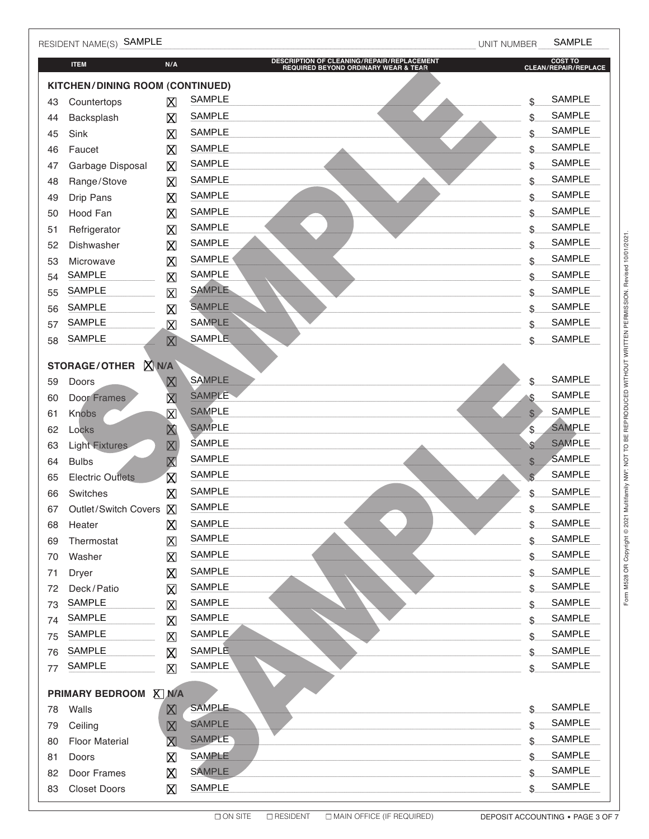|    | RESIDENT NAME(S) SAMPLE                       |                         |                                                                                    | UNIT NUMBER  | <b>SAMPLE</b>                   |
|----|-----------------------------------------------|-------------------------|------------------------------------------------------------------------------------|--------------|---------------------------------|
|    | <b>ITEM</b>                                   | N/A                     | DESCRIPTION OF CLEANING/REPAIR/REPLACEMENT<br>REQUIRED BEYOND ORDINARY WEAR & TEAR |              | COST TO<br>CLEAN/REPAIR/REPLACE |
|    | KITCHEN/DINING ROOM (CONTINUED)               |                         |                                                                                    |              |                                 |
| 43 | Countertops                                   | $\boxtimes$             | <b>SAMPLE</b>                                                                      | \$           | <b>SAMPLE</b>                   |
| 44 | Backsplash                                    | X                       | <b>SAMPLE</b>                                                                      | \$           | <b>SAMPLE</b>                   |
| 45 | Sink                                          | $\boxtimes$             | <b>SAMPLE</b>                                                                      | \$           | <b>SAMPLE</b>                   |
| 46 | Faucet                                        | $\boxtimes$             | <b>SAMPLE</b>                                                                      | \$           | <b>SAMPLE</b>                   |
| 47 | Garbage Disposal                              | $\boxtimes$             | <b>SAMPLE</b>                                                                      | \$           | <b>SAMPLE</b>                   |
| 48 | Range/Stove                                   | $\boxtimes$             | <b>SAMPLE</b>                                                                      | \$           | <b>SAMPLE</b>                   |
| 49 | Drip Pans                                     | ⊠                       | <b>SAMPLE</b>                                                                      | \$           | <b>SAMPLE</b>                   |
| 50 | Hood Fan                                      | 区                       | <b>SAMPLE</b>                                                                      | \$           | <b>SAMPLE</b>                   |
| 51 | Refrigerator                                  | $\boxtimes$             | <b>SAMPLE</b>                                                                      | \$           | <b>SAMPLE</b>                   |
| 52 | Dishwasher                                    | $\boxtimes$             | <b>SAMPLE</b>                                                                      | \$           | <b>SAMPLE</b>                   |
| 53 | Microwave                                     | $\boxtimes$             | <b>SAMPLE</b>                                                                      | \$           | <b>SAMPLE</b>                   |
| 54 | <b>SAMPLE</b>                                 | $\boxtimes$             | <b>SAMPLE</b>                                                                      | \$           | <b>SAMPLE</b>                   |
| 55 | <b>SAMPLE</b>                                 | $\boxtimes$             | <b>SAMPLE</b>                                                                      | \$           | <b>SAMPLE</b>                   |
| 56 | <b>SAMPLE</b>                                 | $\boxtimes$             | <b>SAMPLE</b>                                                                      | \$           | <b>SAMPLE</b>                   |
| 57 | <b>SAMPLE</b>                                 | $\boxtimes$             | <b>SAMPLE</b>                                                                      | \$           | <b>SAMPLE</b>                   |
| 58 | <b>SAMPLE</b>                                 | $\boxtimes$             | <b>SAMPLE</b>                                                                      | \$           | <b>SAMPLE</b>                   |
|    |                                               |                         |                                                                                    |              |                                 |
| 59 | <b>X</b> N/A<br><b>STORAGE/OTHER</b><br>Doors | $\boxtimes$             | <b>SAMPLE</b>                                                                      | \$           | <b>SAMPLE</b>                   |
| 60 | <b>Door Frames</b>                            | $\overline{\mathsf{X}}$ | <b>SAMPLE</b>                                                                      | \$           | <b>SAMPLE</b>                   |
| 61 | <b>Knobs</b>                                  | $\overline{\text{X}}$   | <b>SAMPLE</b>                                                                      | $\mathbb{S}$ | <b>SAMPLE</b>                   |
| 62 | Locks                                         | $\overline{\mathbf{X}}$ | <b>SAMPLE</b>                                                                      | \$           | <b>SAMPLE</b>                   |
| 63 | <b>Light Fixtures</b>                         | $\boxtimes$             | <b>SAMPLE</b>                                                                      | \$           | <b>SAMPLE</b>                   |
| 64 | <b>Bulbs</b>                                  | $\overline{\mathsf{X}}$ | <b>SAMPLE</b>                                                                      | \$           | <b>SAMPLE</b>                   |
| 65 | <b>Electric Outlets</b>                       | $\overline{\mathsf{X}}$ | <b>SAMPLE</b>                                                                      | \$           | <b>SAMPLE</b>                   |
| 66 | Switches                                      | $\boxtimes$             | <b>SAMPLE</b>                                                                      | \$           | <b>SAMPLE</b>                   |
| 67 | Outlet/Switch Covers X                        |                         | <b>SAMPLE</b>                                                                      | \$           | <b>SAMPLE</b>                   |
| 68 | Heater                                        | ⊠                       | <b>SAMPLE</b>                                                                      | \$           | <b>SAMPLE</b>                   |
| 69 | Thermostat                                    | 区                       | <b>SAMPLE</b>                                                                      | \$           | <b>SAMPLE</b>                   |
| 70 | Washer                                        | X                       | <b>SAMPLE</b>                                                                      | \$           | <b>SAMPLE</b>                   |
| 71 | Dryer                                         | ⊠                       | <b>SAMPLE</b>                                                                      | \$           | SAMPLE                          |
| 72 | Deck/Patio                                    | $\boxtimes$             | <b>SAMPLE</b>                                                                      | \$           | <b>SAMPLE</b>                   |
| 73 | <b>SAMPLE</b>                                 | $\boxtimes$             | <b>SAMPLE</b>                                                                      | \$           | <b>SAMPLE</b>                   |
| 74 | <b>SAMPLE</b>                                 | $\boxtimes$             | SAMPLE                                                                             | \$           | <b>SAMPLE</b>                   |
| 75 | <b>SAMPLE</b>                                 | $\boxtimes$             | <b>SAMPLE</b>                                                                      | \$           | <b>SAMPLE</b>                   |
| 76 | <b>SAMPLE</b>                                 | $\boxtimes$             | <b>SAMPLE</b>                                                                      | \$           | <b>SAMPLE</b>                   |
| 77 | <b>SAMPLE</b>                                 | $\boxtimes$             | SAMPLE                                                                             | \$           | <b>SAMPLE</b>                   |
|    |                                               |                         |                                                                                    |              |                                 |
| 78 | PRIMARY BEDROOM X N/A<br>Walls                | $\boxtimes$             | <b>SAMPLE</b>                                                                      | \$           | <b>SAMPLE</b>                   |
| 79 | Ceiling                                       | $\boxtimes$             | <b>SAMPLE</b>                                                                      | \$           | <b>SAMPLE</b>                   |
| 80 | <b>Floor Material</b>                         | $\boxtimes$             | <b>SAMPLE</b>                                                                      | \$           | <b>SAMPLE</b>                   |
| 81 | Doors                                         | $\boxtimes$             | <b>SAMPLE</b>                                                                      | \$           | <b>SAMPLE</b>                   |
| 82 | Door Frames                                   | ⊠                       | <b>SAMPLE</b>                                                                      | \$           | <b>SAMPLE</b>                   |
| 83 | <b>Closet Doors</b>                           | X                       | <b>SAMPLE</b>                                                                      | \$           | <b>SAMPLE</b>                   |
|    |                                               |                         |                                                                                    |              |                                 |

Form M528 OR Copyright @ 2021 Multifamily NW® NOT TO BE REPRODUCED WITHOUT WRITTEN PERMISSION. Revised 10/01/2021.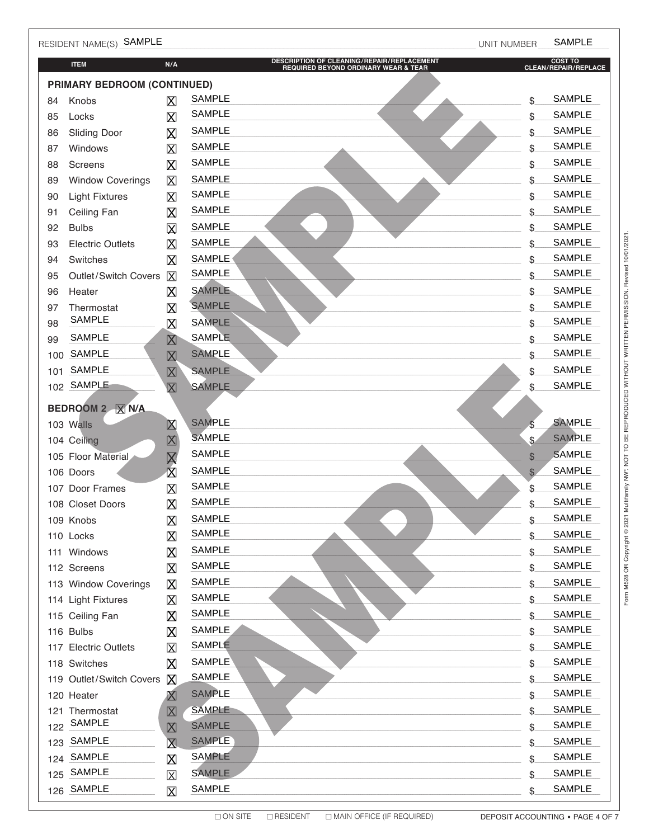|                             | RESIDENT NAME(S) SAMPLE     |                         |                                                                                    | UNIT NUMBER  | <b>SAMPLE</b>                   |  |
|-----------------------------|-----------------------------|-------------------------|------------------------------------------------------------------------------------|--------------|---------------------------------|--|
|                             | <b>ITEM</b>                 | N/A                     | DESCRIPTION OF CLEANING/REPAIR/REPLACEMENT<br>REQUIRED BEYOND ORDINARY WEAR & TEAR |              | COST TO<br>CLEAN/REPAIR/REPLACE |  |
| PRIMARY BEDROOM (CONTINUED) |                             |                         |                                                                                    |              |                                 |  |
| 84                          | Knobs                       | X                       | <b>SAMPLE</b>                                                                      | \$           | <b>SAMPLE</b>                   |  |
| 85                          | Locks                       | X                       | <b>SAMPLE</b>                                                                      | \$           | <b>SAMPLE</b>                   |  |
| 86                          | <b>Sliding Door</b>         | $\boxtimes$             | <b>SAMPLE</b>                                                                      | \$           | <b>SAMPLE</b>                   |  |
| 87                          | Windows                     | $\boxtimes$             | <b>SAMPLE</b>                                                                      | \$           | <b>SAMPLE</b>                   |  |
| 88                          | Screens                     | $\boxtimes$             | <b>SAMPLE</b>                                                                      | \$           | <b>SAMPLE</b>                   |  |
| 89                          | <b>Window Coverings</b>     | $\mathsf{X}% _{0}$      | <b>SAMPLE</b>                                                                      | \$           | <b>SAMPLE</b>                   |  |
| 90                          | <b>Light Fixtures</b>       | $\boxtimes$             | <b>SAMPLE</b>                                                                      | \$           | <b>SAMPLE</b>                   |  |
| 91                          | Ceiling Fan                 | $\boxtimes$             | <b>SAMPLE</b>                                                                      | \$           | <b>SAMPLE</b>                   |  |
| 92                          | <b>Bulbs</b>                | $\boxtimes$             | <b>SAMPLE</b>                                                                      | \$           | <b>SAMPLE</b>                   |  |
| 93                          | <b>Electric Outlets</b>     | 区                       | <b>SAMPLE</b>                                                                      | \$           | <b>SAMPLE</b>                   |  |
| 94                          | Switches                    | $\boxtimes$             | <b>SAMPLE</b>                                                                      | \$           | <b>SAMPLE</b>                   |  |
| 95                          | Outlet/Switch Covers        | $\overline{X}$          | <b>SAMPLE</b>                                                                      | \$           | <b>SAMPLE</b>                   |  |
| 96                          | Heater                      | $\boxtimes$             | <b>SAMPLE</b>                                                                      | \$           | <b>SAMPLE</b>                   |  |
| 97                          | Thermostat<br><b>SAMPLE</b> | $\boxtimes$             | <b>SAMPLE</b>                                                                      | \$           | <b>SAMPLE</b>                   |  |
| 98                          |                             | $\boxtimes$             | <b>SAMPLE</b>                                                                      | \$           | <b>SAMPLE</b>                   |  |
| 99                          | <b>SAMPLE</b>               | $\boxtimes$             | <b>SAMPLE</b>                                                                      | \$           | <b>SAMPLE</b>                   |  |
| 100                         | <b>SAMPLE</b>               | $\boxtimes$             | <b>SAMPLE</b>                                                                      | \$           | <b>SAMPLE</b>                   |  |
| 101                         | <b>SAMPLE</b>               | $\boxtimes$             | <b>SAMPLE</b>                                                                      | \$           | <b>SAMPLE</b>                   |  |
| 102                         | SAMPLE                      | $\overline{\text{X}}$   | <b>SAMPLE</b>                                                                      | \$           | <b>SAMPLE</b>                   |  |
|                             | BEDROOM 2   X N/A           |                         |                                                                                    |              |                                 |  |
|                             | 103 Walls                   | $\boxtimes$             | <b>SAMPLE</b>                                                                      | Ś.           | <b>SAMPLE</b>                   |  |
|                             | 104 Ceiling                 | 区                       | <b>SAMPLE</b>                                                                      | \$           | <b>SAMPLE</b>                   |  |
|                             | 105 Floor Material          | $\overline{\mathsf{X}}$ | <b>SAMPLE</b>                                                                      | $\mathbb{S}$ | <b>SAMPLE</b>                   |  |
|                             | 106 Doors                   | $\overline{\mathsf{X}}$ | <b>SAMPLE</b>                                                                      | \$           | <b>SAMPLE</b>                   |  |
|                             | 107 Door Frames             | $\boxtimes$             | <b>SAMPLE</b>                                                                      | \$           | <b>SAMPLE</b>                   |  |
|                             | 108 Closet Doors            | 阶                       | <b>SAMPLE</b>                                                                      | \$           | <b>SAMPLE</b>                   |  |
|                             | 109 Knobs                   | $\mathsf X$             | SAMPLE                                                                             | \$           | SAMPLE                          |  |
|                             | 110 Locks                   | $\boxtimes$             | SAMPLE                                                                             | \$           | SAMPLE                          |  |
|                             | 111 Windows                 | $\boxtimes$             | SAMPLE                                                                             | \$           | SAMPLE                          |  |
|                             | 112 Screens                 | $\mathsf X$             | <b>SAMPLE</b>                                                                      | \$           | SAMPLE                          |  |
|                             | 113 Window Coverings        | $\boxtimes$             | SAMPLE                                                                             | \$           | SAMPLE                          |  |
|                             | 114 Light Fixtures          | $\boxtimes$             | <b>SAMPLE</b>                                                                      | \$           | SAMPLE                          |  |
|                             | 115 Ceiling Fan             | ⊠                       | SAMPLE                                                                             | \$           | SAMPLE                          |  |
|                             | 116 Bulbs                   | ⊠                       | <b>SAMPLE</b>                                                                      | \$           | SAMPLE                          |  |
|                             | 117 Electric Outlets        | $\overline{\mathbf{X}}$ | SAMPLE                                                                             | \$           | SAMPLE                          |  |
|                             | 118 Switches                | X                       | <b>SAMPLE</b>                                                                      | \$           | SAMPLE                          |  |
|                             | 119 Outlet/Switch Covers    | $\mathsf{X}$            | <b>SAMPLE</b>                                                                      | \$           | <b>SAMPLE</b>                   |  |
|                             | 120 Heater                  | X                       | <b>SAMPLE</b>                                                                      | \$           | SAMPLE                          |  |
|                             | 121 Thermostat<br>SAMPLE    | $\boxtimes$             | <b>SAMPLE</b>                                                                      | \$           | SAMPLE                          |  |
| 122                         |                             | $\boxtimes$             | <b>SAMPLE</b>                                                                      | \$           | SAMPLE                          |  |
| 123                         | SAMPLE                      | $\overline{\mathsf{X}}$ | <b>SAMPLE</b>                                                                      | \$           | <b>SAMPLE</b>                   |  |
|                             | 124 SAMPLE                  | $\boxtimes$             | <b>SAMPLE</b>                                                                      | \$           | <b>SAMPLE</b>                   |  |
| 125                         | SAMPLE                      | $\boxtimes$             | <b>SAMPLE</b>                                                                      | \$           | SAMPLE                          |  |
|                             | 126 SAMPLE                  | $\boxtimes$             | SAMPLE                                                                             | \$.          | SAMPLE                          |  |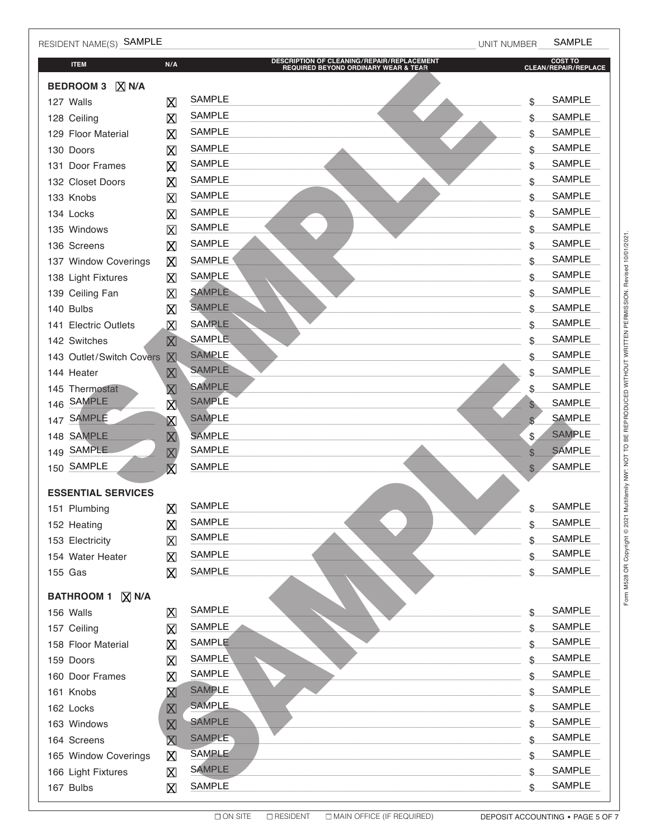| RESIDENT NAME(S) SAMPLE                  |                         |                                                                                    | UNIT NUMBER  | <b>SAMPLE</b>                   |
|------------------------------------------|-------------------------|------------------------------------------------------------------------------------|--------------|---------------------------------|
| <b>ITEM</b>                              | N/A                     | DESCRIPTION OF CLEANING/REPAIR/REPLACEMENT<br>REQUIRED BEYOND ORDINARY WEAR & TEAR |              | COST TO<br>CLEAN/REPAIR/REPLACE |
| <b>BEDROOM 3</b><br>$ \overline{X} $ N/A |                         |                                                                                    |              |                                 |
| 127 Walls                                | $\boxtimes$             | <b>SAMPLE</b>                                                                      | \$           | <b>SAMPLE</b>                   |
| 128 Ceiling                              | $\boxtimes$             | <b>SAMPLE</b>                                                                      | \$           | <b>SAMPLE</b>                   |
| 129 Floor Material                       | Χ                       | <b>SAMPLE</b>                                                                      | \$           | <b>SAMPLE</b>                   |
| 130 Doors                                | $\boxtimes$             | <b>SAMPLE</b>                                                                      | \$           | <b>SAMPLE</b>                   |
| 131 Door Frames                          | $\boxtimes$             | <b>SAMPLE</b>                                                                      | \$           | <b>SAMPLE</b>                   |
| 132 Closet Doors                         | $\boxtimes$             | <b>SAMPLE</b>                                                                      | \$           | <b>SAMPLE</b>                   |
| 133 Knobs                                | $\mathsf X$             | <b>SAMPLE</b>                                                                      | \$           | <b>SAMPLE</b>                   |
| 134 Locks                                | $\overline{\mathsf{X}}$ | <b>SAMPLE</b>                                                                      | \$           | <b>SAMPLE</b>                   |
| 135 Windows                              | $\mathsf X$             | <b>SAMPLE</b>                                                                      | \$           | <b>SAMPLE</b>                   |
| 136 Screens                              | $\boxtimes$             | <b>SAMPLE</b>                                                                      | \$           | <b>SAMPLE</b>                   |
| 137 Window Coverings                     | $\boxtimes$             | <b>SAMPLE</b>                                                                      | \$           | <b>SAMPLE</b>                   |
| 138 Light Fixtures                       | X                       | <b>SAMPLE</b>                                                                      | \$           | <b>SAMPLE</b>                   |
| 139 Ceiling Fan                          | X                       | <b>SAMPLE</b>                                                                      | \$           | <b>SAMPLE</b>                   |
| 140 Bulbs                                | $\boxtimes$             | <b>SAMPLE</b>                                                                      | \$           | <b>SAMPLE</b>                   |
| 141 Electric Outlets                     | X                       | <b>SAMPLE</b>                                                                      | \$           | <b>SAMPLE</b>                   |
| 142 Switches                             | $\boxtimes$             | <b>SAMPLE</b>                                                                      | \$           | <b>SAMPLE</b>                   |
| 143 Outlet/Switch Covers                 | $\mathbb{X}$            | <b>SAMPLE</b>                                                                      | \$           | <b>SAMPLE</b>                   |
| 144 Heater                               | $\boxtimes$             | <b>SAMPLE</b>                                                                      | \$           | <b>SAMPLE</b>                   |
| 145 Thermostat                           | $\boxtimes$             | <b>SAMPLE</b>                                                                      | \$           | <b>SAMPLE</b>                   |
| <b>SAMPLE</b><br>146                     | 図                       | <b>SAMPLE</b>                                                                      | $\mathbb{S}$ | <b>SAMPLE</b>                   |
| <b>SAMPLE</b><br>147                     | $\boxtimes$             | <b>SAMPLE</b>                                                                      | $\mathbb{S}$ | <b>SAMPLE</b>                   |
| 148 SAMPLE                               | $\boxtimes$             | <b>SAMPLE</b>                                                                      | \$           | <b>SAMPLE</b>                   |
| <b>SAMPLE</b><br>149                     | $\boxtimes$             | <b>SAMPLE</b>                                                                      | \$           | <b>SAMPLE</b>                   |
| 150 SAMPLE                               | $\bar{\mathbf{X}}$      | <b>SAMPLE</b>                                                                      | $\mathbb{S}$ | <b>SAMPLE</b>                   |
| <b>ESSENTIAL SERVICES</b>                |                         |                                                                                    |              |                                 |
| 151 Plumbing                             | $\boxtimes$             | SAMPLE                                                                             |              | SAMPLE                          |
| 152 Heating                              | $\boxtimes$             | <b>SAMPLE</b>                                                                      | \$           | <b>SAMPLE</b>                   |
| 153 Electricity                          | $\boxtimes$             | SAMPLE                                                                             | \$           | <b>SAMPLE</b>                   |
| 154 Water Heater                         | Χ                       | SAMPLE                                                                             | \$           | SAMPLE                          |
| 155 Gas                                  | $\boxtimes$             | <b>SAMPLE</b>                                                                      | \$           | <b>SAMPLE</b>                   |
|                                          |                         |                                                                                    |              |                                 |
| <b>BATHROOM 1</b><br>$X$ N/A             |                         | SAMPLE                                                                             |              | <b>SAMPLE</b>                   |
| 156 Walls                                | 区                       | <b>SAMPLE</b>                                                                      | \$           | <b>SAMPLE</b>                   |
| 157 Ceiling                              | X                       | SAMPLE                                                                             | \$           | SAMPLE                          |
| 158 Floor Material                       | $\boxtimes$             | <b>SAMPLE</b>                                                                      | \$           | SAMPLE                          |
| 159 Doors                                | $\boxtimes$             | <b>SAMPLE</b>                                                                      | \$           |                                 |
| 160 Door Frames                          | $\boxtimes$             | <b>SAMPLE</b>                                                                      | \$           | <b>SAMPLE</b><br><b>SAMPLE</b>  |
| 161 Knobs                                | $\boxtimes$             | <b>SAMPLE</b>                                                                      | \$           |                                 |
| 162 Locks                                | $\boxtimes$             | <b>SAMPLE</b>                                                                      | \$           | SAMPLE<br><b>SAMPLE</b>         |
| 163 Windows                              | $\boxtimes$             |                                                                                    | \$           |                                 |
| 164 Screens                              | $\boxtimes$             | <b>SAMPLE</b><br><b>SAMPLE</b>                                                     | \$           | <b>SAMPLE</b><br><b>SAMPLE</b>  |
| 165 Window Coverings                     | 区                       |                                                                                    | \$           |                                 |
| 166 Light Fixtures                       | $\boxtimes$             | <b>SAMPLE</b>                                                                      | \$           | SAMPLE                          |
| 167 Bulbs                                | $\mathsf{X}$            | <b>SAMPLE</b>                                                                      | \$           | <b>SAMPLE</b>                   |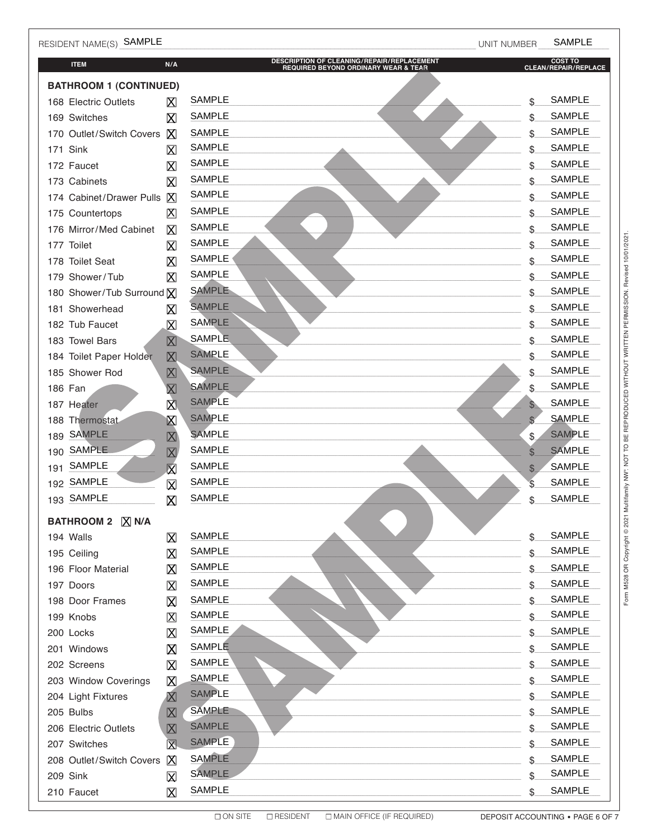| RESIDENT NAME(S) SAMPLE       |                                                                      |                                                                                    | <b>UNIT NUMBER</b> | <b>SAMPLE</b>                   |
|-------------------------------|----------------------------------------------------------------------|------------------------------------------------------------------------------------|--------------------|---------------------------------|
| <b>ITEM</b>                   | N/A                                                                  | DESCRIPTION OF CLEANING/REPAIR/REPLACEMENT<br>REQUIRED BEYOND ORDINARY WEAR & TEAR |                    | COST TO<br>CLEAN/REPAIR/REPLACE |
| <b>BATHROOM 1 (CONTINUED)</b> |                                                                      |                                                                                    |                    |                                 |
| 168 Electric Outlets          | $\boxtimes$                                                          | <b>SAMPLE</b>                                                                      | \$                 | <b>SAMPLE</b>                   |
| 169 Switches                  | $\boxtimes$                                                          | <b>SAMPLE</b>                                                                      | \$                 | <b>SAMPLE</b>                   |
| 170 Outlet/Switch Covers      | X                                                                    | <b>SAMPLE</b>                                                                      | \$                 | <b>SAMPLE</b>                   |
| 171 Sink                      | $\boxtimes$                                                          | <b>SAMPLE</b>                                                                      | \$                 | <b>SAMPLE</b>                   |
| 172 Faucet                    | $\boxtimes$                                                          | <b>SAMPLE</b>                                                                      | \$                 | <b>SAMPLE</b>                   |
| 173 Cabinets                  | X                                                                    | <b>SAMPLE</b>                                                                      | \$                 | <b>SAMPLE</b>                   |
| 174 Cabinet/Drawer Pulls      | $\boxtimes$                                                          | <b>SAMPLE</b>                                                                      | \$                 | <b>SAMPLE</b>                   |
| 175 Countertops               | 区                                                                    | <b>SAMPLE</b>                                                                      | \$                 | <b>SAMPLE</b>                   |
| 176 Mirror/Med Cabinet        | $\boxtimes$                                                          | <b>SAMPLE</b>                                                                      | \$                 | <b>SAMPLE</b>                   |
| 177 Toilet                    | X                                                                    | <b>SAMPLE</b>                                                                      | \$                 | <b>SAMPLE</b>                   |
| 178 Toilet Seat               | X                                                                    | <b>SAMPLE</b>                                                                      | \$                 | <b>SAMPLE</b>                   |
| 179 Shower/Tub                | X                                                                    | <b>SAMPLE</b>                                                                      | \$                 | <b>SAMPLE</b>                   |
| 180 Shower/Tub Surround X     |                                                                      | <b>SAMPLE</b>                                                                      | \$                 | <b>SAMPLE</b>                   |
| 181 Showerhead                | $\boxtimes$                                                          | <b>SAMPLE</b>                                                                      | \$                 | <b>SAMPLE</b>                   |
| 182 Tub Faucet                | $\boxtimes$                                                          | <b>SAMPLE</b>                                                                      | \$                 | SAMPLE                          |
| 183 Towel Bars                | $\boxtimes$                                                          | <b>SAMPLE</b>                                                                      | \$                 | <b>SAMPLE</b>                   |
| 184 Toilet Paper Holder       | $\boxtimes$                                                          | <b>SAMPLE</b>                                                                      | \$                 | <b>SAMPLE</b>                   |
| 185 Shower Rod                | 図                                                                    | <b>SAMPLE</b>                                                                      | \$                 | <b>SAMPLE</b>                   |
| 186 Fan                       | $\mathsf{X}% _{0}^{X\rightarrow\mathsf{Y}}\xleft( \mathsf{Y}\right)$ | <b>SAMPLE</b>                                                                      | \$                 | <b>SAMPLE</b>                   |
| 187 Heater                    | 区                                                                    | <b>SAMPLE</b>                                                                      | $\mathbb{S}$       | <b>SAMPLE</b>                   |
| 188 Thermostat                | $\boxtimes$                                                          | <b>SAMPLE</b>                                                                      | $\mathbb{S}$       | <b>SAMPLE</b>                   |
| <b>SAMPLE</b><br>189          | $\boxtimes$                                                          | <b>SAMPLE</b>                                                                      | \$                 | <b>SAMPLE</b>                   |
| <b>SAMPLE</b><br>190          | $\boxtimes$                                                          | <b>SAMPLE</b>                                                                      | \$                 | <b>SAMPLE</b>                   |
| <b>SAMPLE</b><br>191          | $\bar{\boxtimes}$                                                    | <b>SAMPLE</b>                                                                      | \$                 | <b>SAMPLE</b>                   |
| SAMPLE<br>192                 | $\boxtimes$                                                          | <b>SAMPLE</b>                                                                      | \$                 | <b>SAMPLE</b>                   |
| 193 SAMPLE                    | $\boxtimes$                                                          | <b>SAMPLE</b>                                                                      | \$                 | <b>SAMPLE</b>                   |
| BATHROOM 2   X N/A            |                                                                      |                                                                                    |                    |                                 |
| 194 Walls                     | $\boxtimes$                                                          | <b>SAMPLE</b>                                                                      | \$                 | <b>SAMPLE</b>                   |
| 195 Ceiling                   | $\mathsf X$                                                          | SAMPLE                                                                             | \$                 | <b>SAMPLE</b>                   |
| 196 Floor Material            | $\boxtimes$                                                          | SAMPLE                                                                             |                    | <b>SAMPLE</b>                   |
| 197 Doors                     | $\boxtimes$                                                          | SAMPLE                                                                             | \$                 | <b>SAMPLE</b>                   |
| 198 Door Frames               | $\boxtimes$                                                          | <b>SAMPLE</b>                                                                      | \$                 | <b>SAMPLE</b>                   |
| 199 Knobs                     | $\boxtimes$                                                          | <b>SAMPLE</b>                                                                      | \$                 | <b>SAMPLE</b>                   |
| 200 Locks                     | $\boxtimes$                                                          | SAMPLE                                                                             | \$                 | <b>SAMPLE</b>                   |
| 201 Windows                   | $\boxtimes$                                                          | SAMPLE                                                                             | \$                 | <b>SAMPLE</b>                   |
| 202 Screens                   | $\boxtimes$                                                          | SAMPLE                                                                             | \$                 | <b>SAMPLE</b>                   |
| 203 Window Coverings          | X                                                                    | <b>SAMPLE</b>                                                                      | \$                 | <b>SAMPLE</b>                   |
| 204 Light Fixtures            | $\boxtimes$                                                          | <b>SAMPLE</b>                                                                      | \$                 | <b>SAMPLE</b>                   |
| 205 Bulbs                     | $\boxtimes$                                                          | <b>SAMPLE</b>                                                                      | \$                 | <b>SAMPLE</b>                   |
| 206 Electric Outlets          | $\boxtimes$                                                          | <b>SAMPLE</b>                                                                      | \$                 | SAMPLE                          |
| 207 Switches                  | $\boxtimes$                                                          | <b>SAMPLE</b>                                                                      | \$                 | <b>SAMPLE</b>                   |
| 208 Outlet/Switch Covers      | $\mathsf{X}$                                                         | <b>SAMPLE</b><br><b>SAMPLE</b>                                                     | \$                 | <b>SAMPLE</b><br>SAMPLE         |
| 209 Sink                      | $\boxtimes$                                                          |                                                                                    |                    |                                 |
| 210 Faucet                    | $\mathsf{X}$                                                         | <b>SAMPLE</b>                                                                      | \$                 | <b>SAMPLE</b>                   |

DEPOSIT ACCOUNTING . PAGE 6 OF 7